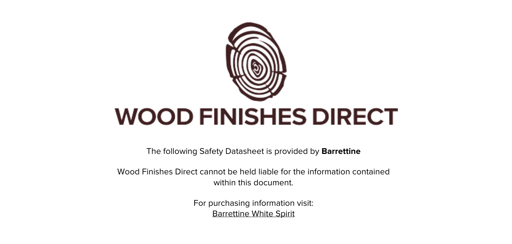

The following Safety Datasheet is provided by **Barrettine**

Wood Finishes Direct cannot be held liable for the information contained within this document.

> For purchasing information visit: [Barrettine White Spirit](https://www.wood-finishes-direct.com/product/barrettine-white-spirit)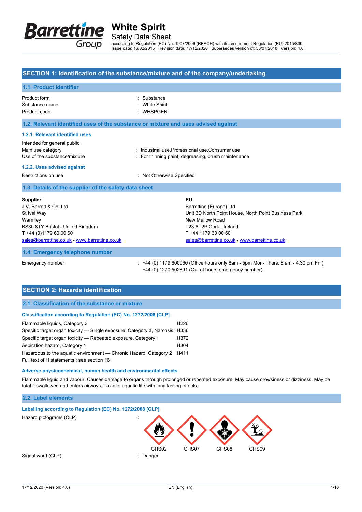

Safety Data Sheet

according to Regulation (EC) No. 1907/2006 (REACH) with its amendment Regulation (EU) 2015/830 Issue date: 16/02/2015 Revision date: 17/12/2020 Supersedes version of: 30/07/2018 Version: 4.0

### **SECTION 1: Identification of the substance/mixture and of the company/undertaking**

| 1.1. Product identifier                                                                                                             |                                                                                                                                                             |  |  |  |
|-------------------------------------------------------------------------------------------------------------------------------------|-------------------------------------------------------------------------------------------------------------------------------------------------------------|--|--|--|
| Product form<br>Substance name<br>Product code                                                                                      | Substance<br><b>White Spirit</b><br><b>WHSPGEN</b>                                                                                                          |  |  |  |
| 1.2. Relevant identified uses of the substance or mixture and uses advised against                                                  |                                                                                                                                                             |  |  |  |
| 1.2.1. Relevant identified uses<br>Intended for general public<br>Main use category                                                 | : Industrial use, Professional use, Consumer use                                                                                                            |  |  |  |
| Use of the substance/mixture                                                                                                        | : For thinning paint, degreasing, brush maintenance                                                                                                         |  |  |  |
| 1.2.2. Uses advised against                                                                                                         |                                                                                                                                                             |  |  |  |
| Restrictions on use                                                                                                                 | : Not Otherwise Specified                                                                                                                                   |  |  |  |
| 1.3. Details of the supplier of the safety data sheet                                                                               |                                                                                                                                                             |  |  |  |
| <b>Supplier</b><br>J.V. Barrett & Co. Ltd.<br>St Ivel Way<br>Warmley<br>BS30 8TY Bristol - United Kingdom<br>T +44 (0)1179 60 00 60 | EU<br>Barrettine (Europe) Ltd<br>Unit 3D North Point House, North Point Business Park,<br>New Mallow Road<br>T23 AT2P Cork - Ireland<br>T +44 1179 60 00 60 |  |  |  |
| sales@barrettine.co.uk - www.barrettine.co.uk                                                                                       | sales@barrettine.co.uk - www.barrettine.co.uk                                                                                                               |  |  |  |

#### **1.4. Emergency telephone number**

Emergency number : +44 (0) 1179 600060 (Office hours only 8am - 5pm Mon- Thurs. 8 am - 4.30 pm Fri.) +44 (0) 1270 502891 (Out of hours emergency number)

# **SECTION 2: Hazards identification**

### **2.1. Classification of the substance or mixture**

#### **Classification according to Regulation (EC) No. 1272/2008 [CLP]**

| Flammable liquids, Category 3                                               |                  |
|-----------------------------------------------------------------------------|------------------|
| Specific target organ toxicity — Single exposure, Category 3, Narcosis H336 |                  |
| Specific target organ toxicity — Repeated exposure, Category 1              |                  |
| Aspiration hazard, Category 1                                               | H <sub>304</sub> |
| Hazardous to the aguatic environment — Chronic Hazard, Category 2 H411      |                  |
| Full text of H statements : see section 16                                  |                  |

#### **Adverse physicochemical, human health and environmental effects**

Flammable liquid and vapour. Causes damage to organs through prolonged or repeated exposure. May cause drowsiness or dizziness. May be fatal if swallowed and enters airways. Toxic to aquatic life with long lasting effects.

### **2.2. Label elements**

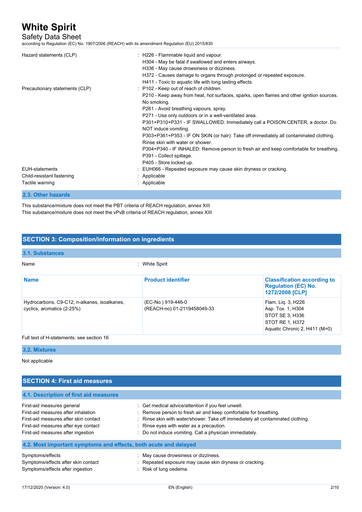# Safety Data Sheet

according to Regulation (EC) No. 1907/2006 (REACH) with its amendment Regulation (EU) 2015/830

| Hazard statements (CLP)        | $\therefore$ H226 - Flammable liquid and vapour.<br>H304 - May be fatal if swallowed and enters airways.<br>H336 - May cause drowsiness or dizziness.<br>H372 - Causes damage to organs through prolonged or repeated exposure.<br>H411 - Toxic to aquatic life with long lasting effects.                                                                                          |
|--------------------------------|-------------------------------------------------------------------------------------------------------------------------------------------------------------------------------------------------------------------------------------------------------------------------------------------------------------------------------------------------------------------------------------|
| Precautionary statements (CLP) | : P102 - Keep out of reach of children.<br>P210 - Keep away from heat, hot surfaces, sparks, open flames and other ignition sources.<br>No smoking.<br>P261 - Avoid breathing vapours, spray.<br>P271 - Use only outdoors or in a well-ventilated area.                                                                                                                             |
|                                | P301+P310+P331 - IF SWALLOWED: Immediately call a POISON CENTER, a doctor. Do<br>NOT induce vomiting.<br>P303+P361+P353 - IF ON SKIN (or hair): Take off immediately all contaminated clothing.<br>Rinse skin with water or shower<br>P304+P340 - IF INHALED: Remove person to fresh air and keep comfortable for breathing.<br>P391 - Collect spillage.<br>P405 - Store locked up. |
| <b>EUH-statements</b>          | : EUH066 - Repeated exposure may cause skin dryness or cracking.                                                                                                                                                                                                                                                                                                                    |
| Child-resistant fastening      | : Applicable                                                                                                                                                                                                                                                                                                                                                                        |
| Tactile warning                | : Applicable                                                                                                                                                                                                                                                                                                                                                                        |
| 2.3. Other hazards             |                                                                                                                                                                                                                                                                                                                                                                                     |

This substance/mixture does not meet the PBT criteria of REACH regulation, annex XIII This substance/mixture does not meet the vPvB criteria of REACH regulation, annex XIII

## **SECTION 3: Composition/information on ingredients**

#### **3.1. Substances** Name : White Spirit **Name Product identifier Product identifier Classification according to Classification according to Regulation (EC) No. 1272/2008 [CLP]** Hydrocarbons, C9-C12, n-alkanes, isoalkanes, cyclics, aromatics (2-25%) (EC-No.) 919-446-0 (REACH-no) 01-2119458049-33 Flam. Liq. 3, H226 Asp. Tox. 1, H304 STOT SE 3, H336 STOT RE 1, H372 Aquatic Chronic 2, H411 (M=0) Full text of H-statements: see section 16

#### **3.2. Mixtures**

Not applicable

| <b>SECTION 4: First aid measures</b>                                                                                                                                                     |                                                                                                                                                                                                                                                                                                                  |
|------------------------------------------------------------------------------------------------------------------------------------------------------------------------------------------|------------------------------------------------------------------------------------------------------------------------------------------------------------------------------------------------------------------------------------------------------------------------------------------------------------------|
| 4.1. Description of first aid measures                                                                                                                                                   |                                                                                                                                                                                                                                                                                                                  |
| First-aid measures general<br>First-aid measures after inhalation<br>First-aid measures after skin contact<br>First-aid measures after eye contact<br>First-aid measures after ingestion | : Get medical advice/attention if you feel unwell.<br>: Remove person to fresh air and keep comfortable for breathing.<br>: Rinse skin with water/shower. Take off immediately all contaminated clothing.<br>: Rinse eyes with water as a precaution.<br>: Do not induce vomiting. Call a physician immediately. |
| 4.2. Most important symptoms and effects, both acute and delayed                                                                                                                         |                                                                                                                                                                                                                                                                                                                  |
| Symptoms/effects<br>Symptoms/effects after skin contact<br>Symptoms/effects after ingestion                                                                                              | : May cause drowsiness or dizziness.<br>: Repeated exposure may cause skin dryness or cracking.<br>: Risk of lung oedema.                                                                                                                                                                                        |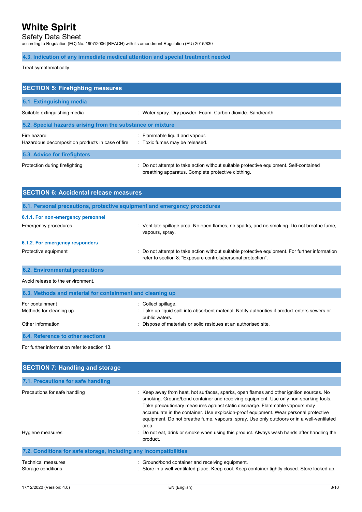Safety Data Sheet

according to Regulation (EC) No. 1907/2006 (REACH) with its amendment Regulation (EU) 2015/830

## **4.3. Indication of any immediate medical attention and special treatment needed**

Treat symptomatically.

| <b>SECTION 5: Firefighting measures</b>                         |                                                                                                                                             |  |  |
|-----------------------------------------------------------------|---------------------------------------------------------------------------------------------------------------------------------------------|--|--|
| 5.1. Extinguishing media                                        |                                                                                                                                             |  |  |
| Suitable extinguishing media                                    | : Water spray. Dry powder. Foam. Carbon dioxide. Sand/earth.                                                                                |  |  |
| 5.2. Special hazards arising from the substance or mixture      |                                                                                                                                             |  |  |
| Fire hazard<br>Hazardous decomposition products in case of fire | : Flammable liquid and vapour.<br>: Toxic fumes may be released.                                                                            |  |  |
| 5.3. Advice for firefighters                                    |                                                                                                                                             |  |  |
| Protection during firefighting                                  | : Do not attempt to take action without suitable protective equipment. Self-contained<br>breathing apparatus. Complete protective clothing. |  |  |

| <b>SECTION 6: Accidental release measures</b>                            |                                                                                                                                                                                                      |  |  |
|--------------------------------------------------------------------------|------------------------------------------------------------------------------------------------------------------------------------------------------------------------------------------------------|--|--|
| 6.1. Personal precautions, protective equipment and emergency procedures |                                                                                                                                                                                                      |  |  |
| 6.1.1. For non-emergency personnel                                       |                                                                                                                                                                                                      |  |  |
| <b>Emergency procedures</b>                                              | : Ventilate spillage area. No open flames, no sparks, and no smoking. Do not breathe fume,<br>vapours, spray.                                                                                        |  |  |
| 6.1.2. For emergency responders                                          |                                                                                                                                                                                                      |  |  |
| Protective equipment                                                     | Do not attempt to take action without suitable protective equipment. For further information<br>refer to section 8: "Exposure controls/personal protection".                                         |  |  |
| <b>6.2. Environmental precautions</b>                                    |                                                                                                                                                                                                      |  |  |
| Avoid release to the environment.                                        |                                                                                                                                                                                                      |  |  |
| 6.3. Methods and material for containment and cleaning up                |                                                                                                                                                                                                      |  |  |
| For containment<br>Methods for cleaning up<br>Other information          | Collect spillage.<br>Take up liquid spill into absorbent material. Notify authorities if product enters sewers or<br>public waters.<br>Dispose of materials or solid residues at an authorised site. |  |  |
|                                                                          |                                                                                                                                                                                                      |  |  |
| 6.4. Reference to other sections                                         |                                                                                                                                                                                                      |  |  |
| For further information refer to section 13.                             |                                                                                                                                                                                                      |  |  |

| <b>SECTION 7: Handling and storage</b>                            |                                                                                                                                                                                                                                                                                                                                                                                                                                                              |
|-------------------------------------------------------------------|--------------------------------------------------------------------------------------------------------------------------------------------------------------------------------------------------------------------------------------------------------------------------------------------------------------------------------------------------------------------------------------------------------------------------------------------------------------|
| 7.1. Precautions for safe handling                                |                                                                                                                                                                                                                                                                                                                                                                                                                                                              |
| Precautions for safe handling                                     | : Keep away from heat, hot surfaces, sparks, open flames and other ignition sources. No<br>smoking. Ground/bond container and receiving equipment. Use only non-sparking tools.<br>Take precautionary measures against static discharge. Flammable vapours may<br>accumulate in the container. Use explosion-proof equipment. Wear personal protective<br>equipment. Do not breathe fume, vapours, spray. Use only outdoors or in a well-ventilated<br>area. |
| Hygiene measures                                                  | : Do not eat, drink or smoke when using this product. Always wash hands after handling the<br>product.                                                                                                                                                                                                                                                                                                                                                       |
| 7.2. Conditions for safe storage, including any incompatibilities |                                                                                                                                                                                                                                                                                                                                                                                                                                                              |
| Technical measures<br>Storage conditions                          | : Ground/bond container and receiving equipment.<br>: Store in a well-ventilated place. Keep cool. Keep container tightly closed. Store locked up.                                                                                                                                                                                                                                                                                                           |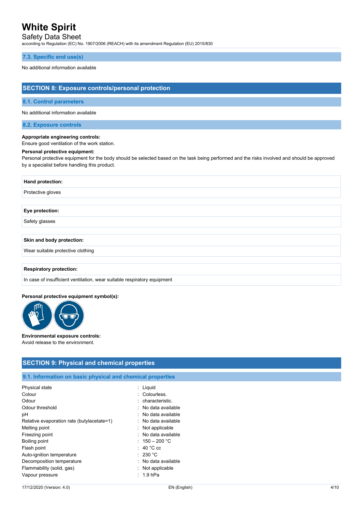# Safety Data Sheet

according to Regulation (EC) No. 1907/2006 (REACH) with its amendment Regulation (EU) 2015/830

### **7.3. Specific end use(s)**

#### No additional information available

## **SECTION 8: Exposure controls/personal protection**

#### **8.1. Control parameters**

#### No additional information available

### **8.2. Exposure controls**

### **Appropriate engineering controls:**

Ensure good ventilation of the work station.

#### **Personal protective equipment:**

Personal protective equipment for the body should be selected based on the task being performed and the risks involved and should be approved by a specialist before handling this product.

| <b>Hand protection:</b> |  |
|-------------------------|--|
| Protective gloves       |  |
|                         |  |
| Eye protection:         |  |
| Safety glasses          |  |

#### **Skin and body protection:**

Wear suitable protective clothing

#### **Respiratory protection:**

In case of insufficient ventilation, wear suitable respiratory equipment

#### **Personal protective equipment symbol(s):**



# **Environmental exposure controls:**

Avoid release to the environment.

## **SECTION 9: Physical and chemical properties**

## **9.1. Information on basic physical and chemical properties**

| Physical state                             | : Liquid              |
|--------------------------------------------|-----------------------|
| Colour                                     | Colourless            |
| Odour                                      | $:$ characteristic.   |
| Odour threshold                            | . No data available   |
| рH                                         | : No data available   |
| Relative evaporation rate (butylacetate=1) | : No data available   |
| Melting point                              | $:$ Not applicable    |
| Freezing point                             | : No data available   |
| Boiling point                              | : 150 – 200 °C        |
| Flash point                                | $\therefore$ 40 °C cc |
| Auto-ignition temperature                  | : 230 °C              |
| Decomposition temperature                  | : No data available   |
| Flammability (solid, gas)                  | : Not applicable      |
| Vapour pressure                            | $: 1.9$ hPa           |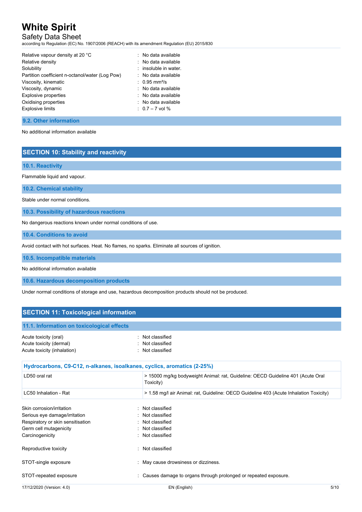# Safety Data Sheet

according to Regulation (EC) No. 1907/2006 (REACH) with its amendment Regulation (EU) 2015/830

| Relative vapour density at 20 °C                | : No data available         |
|-------------------------------------------------|-----------------------------|
| Relative density                                | : No data available         |
| Solubility                                      | : insoluble in water.       |
| Partition coefficient n-octanol/water (Log Pow) | : No data available         |
| Viscosity, kinematic                            | $: 0.95$ mm <sup>2</sup> /s |
| Viscosity, dynamic                              | : No data available         |
| <b>Explosive properties</b>                     | : No data available         |
| Oxidising properties                            | : No data available         |
| <b>Explosive limits</b>                         | $: 0.7 - 7$ vol %           |
|                                                 |                             |

## **9.2. Other information**

No additional information available

## **SECTION 10: Stability and reactivity**

### **10.1. Reactivity**

Flammable liquid and vapour.

**10.2. Chemical stability**

Stable under normal conditions.

**10.3. Possibility of hazardous reactions**

No dangerous reactions known under normal conditions of use.

**10.4. Conditions to avoid**

Avoid contact with hot surfaces. Heat. No flames, no sparks. Eliminate all sources of ignition.

**10.5. Incompatible materials**

No additional information available

**10.6. Hazardous decomposition products**

Under normal conditions of storage and use, hazardous decomposition products should not be produced.

## **SECTION 11: Toxicological information**

| 11.1. Information on toxicological effects |                                                                                              |
|--------------------------------------------|----------------------------------------------------------------------------------------------|
| Acute toxicity (oral)                      | : Not classified                                                                             |
| Acute toxicity (dermal)                    | Not classified                                                                               |
| Acute toxicity (inhalation)                | Not classified                                                                               |
|                                            | Hydrocarbons, C9-C12, n-alkanes, isoalkanes, cyclics, aromatics (2-25%)                      |
|                                            |                                                                                              |
| LD50 oral rat                              | > 15000 mg/kg bodyweight Animal: rat, Guideline: OECD Guideline 401 (Acute Oral<br>Toxicity) |
| LC50 Inhalation - Rat                      | > 1.58 mg/l air Animal: rat, Guideline: OECD Guideline 403 (Acute Inhalation Toxicity)       |

| Skin corrosion/irritation<br>Serious eye damage/irritation<br>Respiratory or skin sensitisation<br>Germ cell mutagenicity<br>Carcinogenicity | : Not classified<br>: Not classified<br>: Not classified<br>: Not classified<br>: Not classified |      |
|----------------------------------------------------------------------------------------------------------------------------------------------|--------------------------------------------------------------------------------------------------|------|
| Reproductive toxicity                                                                                                                        | : Not classified                                                                                 |      |
| STOT-single exposure                                                                                                                         | : May cause drowsiness or dizziness.                                                             |      |
| STOT-repeated exposure                                                                                                                       | : Causes damage to organs through prolonged or repeated exposure.                                |      |
| 17/12/2020 (Version: 4.0)                                                                                                                    | EN (English)                                                                                     | 5/10 |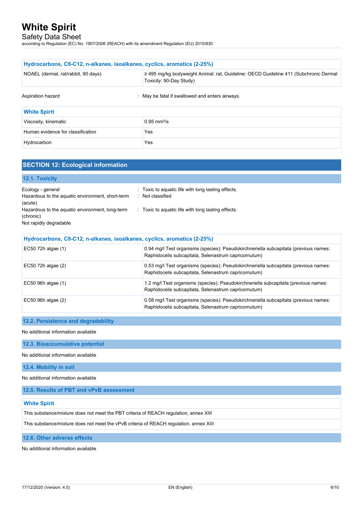Safety Data Sheet

according to Regulation (EC) No. 1907/2006 (REACH) with its amendment Regulation (EU) 2015/830

| Hydrocarbons, C9-C12, n-alkanes, isoalkanes, cyclics, aromatics (2-25%)                                                                                |                              |  |  |
|--------------------------------------------------------------------------------------------------------------------------------------------------------|------------------------------|--|--|
| ≥ 495 mg/kg bodyweight Animal: rat, Guideline: OECD Guideline 411 (Subchronic Dermal<br>NOAEL (dermal, rat/rabbit, 90 days)<br>Toxicity: 90-Day Study) |                              |  |  |
| Aspiration hazard<br>May be fatal if swallowed and enters airways.                                                                                     |                              |  |  |
| <b>White Spirit</b>                                                                                                                                    |                              |  |  |
| Viscosity, kinematic                                                                                                                                   | $0.95 \text{ mm}^2/\text{s}$ |  |  |
| Human evidence for classification                                                                                                                      | <b>Yes</b>                   |  |  |
| Hydrocarbon                                                                                                                                            | Yes                          |  |  |

## **SECTION 12: Ecological information**

| Toxic to aquatic life with long lasting effects.<br>÷.<br>Not classified |
|--------------------------------------------------------------------------|
| Toxic to aquatic life with long lasting effects.<br>$\mathcal{L}$ .      |
|                                                                          |
|                                                                          |

| Hydrocarbons, C9-C12, n-alkanes, isoalkanes, cyclics, aromatics (2-25%) |                                                                                                                                              |  |
|-------------------------------------------------------------------------|----------------------------------------------------------------------------------------------------------------------------------------------|--|
| EC50 72h algae (1)                                                      | 0.94 mg/l Test organisms (species): Pseudokirchneriella subcapitata (previous names:<br>Raphidocelis subcapitata, Selenastrum capricornutum) |  |
| $EC50$ 72h algae $(2)$                                                  | 0.53 mg/l Test organisms (species): Pseudokirchneriella subcapitata (previous names:<br>Raphidocelis subcapitata, Selenastrum capricornutum) |  |
| $EC50$ 96h algae $(1)$                                                  | 1.2 mg/l Test organisms (species): Pseudokirchneriella subcapitata (previous names:<br>Raphidocelis subcapitata, Selenastrum capricornutum)  |  |
| $EC50$ 96h algae $(2)$                                                  | 0.58 mg/l Test organisms (species): Pseudokirchneriella subcapitata (previous names:<br>Raphidocelis subcapitata, Selenastrum capricornutum) |  |

### **12.2. Persistence and degradability**

No additional information available

**12.3. Bioaccumulative potential**

No additional information available

**12.4. Mobility in soil**

No additional information available

**12.5. Results of PBT and vPvB assessment**

### **White Spirit**

This substance/mixture does not meet the PBT criteria of REACH regulation, annex XIII

This substance/mixture does not meet the vPvB criteria of REACH regulation, annex XIII

**12.6. Other adverse effects**

No additional information available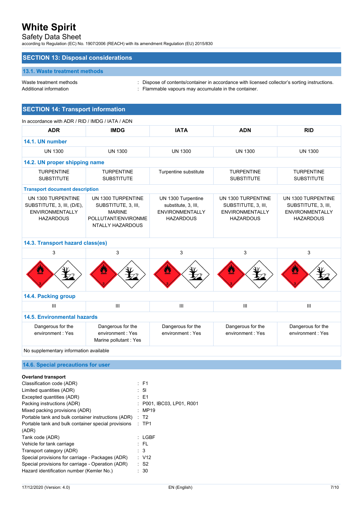# Safety Data Sheet

according to Regulation (EC) No. 1907/2006 (REACH) with its amendment Regulation (EU) 2015/830

## **SECTION 13: Disposal considerations**

### **13.1. Waste treatment methods**

Waste treatment methods : Dispose of contents/container in accordance with licensed collector's sorting instructions. Additional information **interest in the container.** : Flammable vapours may accumulate in the container.

## **SECTION 14: Transport information**

| <b>ADR</b>                                                                                     | <b>IMDG</b>                                                                                           | <b>IATA</b>                                                                             | <b>ADN</b>                                                                              | <b>RID</b>                                                                              |
|------------------------------------------------------------------------------------------------|-------------------------------------------------------------------------------------------------------|-----------------------------------------------------------------------------------------|-----------------------------------------------------------------------------------------|-----------------------------------------------------------------------------------------|
| 14.1. UN number                                                                                |                                                                                                       |                                                                                         |                                                                                         |                                                                                         |
| <b>UN 1300</b>                                                                                 | <b>UN 1300</b>                                                                                        | <b>UN 1300</b>                                                                          | <b>UN 1300</b>                                                                          | <b>UN 1300</b>                                                                          |
| 14.2. UN proper shipping name                                                                  |                                                                                                       |                                                                                         |                                                                                         |                                                                                         |
| <b>TURPENTINE</b><br><b>SUBSTITUTE</b>                                                         | <b>TURPENTINE</b><br><b>SUBSTITUTE</b>                                                                | Turpentine substitute                                                                   | <b>TURPENTINE</b><br><b>SUBSTITUTE</b>                                                  | <b>TURPENTINE</b><br><b>SUBSTITUTE</b>                                                  |
| <b>Transport document description</b>                                                          |                                                                                                       |                                                                                         |                                                                                         |                                                                                         |
| UN 1300 TURPENTINE<br>SUBSTITUTE, 3, III, (D/E),<br><b>ENVIRONMENTALLY</b><br><b>HAZARDOUS</b> | UN 1300 TURPENTINE<br>SUBSTITUTE, 3, III,<br><b>MARINE</b><br>POLLUTANT/ENVIRONME<br>NTALLY HAZARDOUS | UN 1300 Turpentine<br>substitute, 3, III,<br><b>ENVIRONMENTALLY</b><br><b>HAZARDOUS</b> | UN 1300 TURPENTINE<br>SUBSTITUTE, 3, III,<br><b>ENVIRONMENTALLY</b><br><b>HAZARDOUS</b> | UN 1300 TURPENTINE<br>SUBSTITUTE, 3, III,<br><b>ENVIRONMENTALLY</b><br><b>HAZARDOUS</b> |
| 14.3. Transport hazard class(es)                                                               |                                                                                                       |                                                                                         |                                                                                         |                                                                                         |
| 3                                                                                              | 3                                                                                                     | 3                                                                                       | 3                                                                                       | 3                                                                                       |
| Ø                                                                                              |                                                                                                       |                                                                                         |                                                                                         |                                                                                         |
| 14.4. Packing group                                                                            |                                                                                                       |                                                                                         |                                                                                         |                                                                                         |
| Ш                                                                                              | III                                                                                                   | $\mathbf{III}$                                                                          | III                                                                                     | Ш                                                                                       |
| <b>14.5. Environmental hazards</b>                                                             |                                                                                                       |                                                                                         |                                                                                         |                                                                                         |
| Dangerous for the<br>environment: Yes                                                          | Dangerous for the<br>environment: Yes<br>Marine pollutant: Yes                                        | Dangerous for the<br>environment: Yes                                                   | Dangerous for the<br>environment: Yes                                                   | Dangerous for the<br>environment: Yes                                                   |
| No supplementary information available                                                         |                                                                                                       |                                                                                         |                                                                                         |                                                                                         |
| 14.6. Special precautions for user                                                             |                                                                                                       |                                                                                         |                                                                                         |                                                                                         |
|                                                                                                |                                                                                                       |                                                                                         |                                                                                         |                                                                                         |
| <b>Overland transport</b><br>Classification code (ADR)                                         | $E$ F1                                                                                                |                                                                                         |                                                                                         |                                                                                         |
| Limited quantities (ADR)                                                                       | 5 <sub>l</sub>                                                                                        |                                                                                         |                                                                                         |                                                                                         |
| Excepted quantities (ADR)                                                                      | $E = 1$                                                                                               |                                                                                         |                                                                                         |                                                                                         |
| Packing instructions (ADR)                                                                     |                                                                                                       | P001, IBC03, LP01, R001                                                                 |                                                                                         |                                                                                         |

| <b>LACEPIEG GUALITIES (ADIT)</b>                    | . .                |
|-----------------------------------------------------|--------------------|
| Packing instructions (ADR)                          | : P001. IBC03. LP0 |
| Mixed packing provisions (ADR)                      | : MP19             |
| Portable tank and bulk container instructions (ADR) | : T2               |
| Portable tank and bulk container special provisions | $:$ TP1            |
| (ADR)                                               |                    |
| Tank code (ADR)                                     | : LGBF             |
| Vehicle for tank carriage                           | : FL               |
| Transport category (ADR)                            | : 3                |
| Special provisions for carriage - Packages (ADR)    | : V12              |
| Special provisions for carriage - Operation (ADR)   | : S2               |
| Hazard identification number (Kemler No.)           | : 30               |
|                                                     |                    |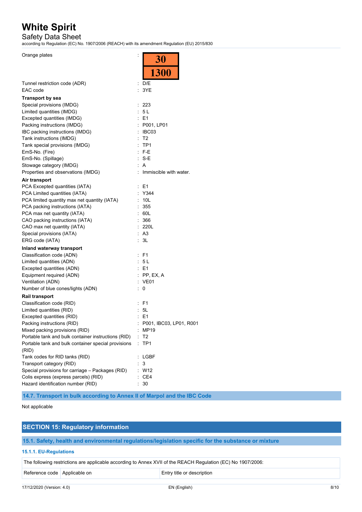# Safety Data Sheet

according to Regulation (EC) No. 1907/2006 (REACH) with its amendment Regulation (EU) 2015/830

 $\overline{30}$ 

Orange plates in the set of the set of the set of the set of the set of the set of the set of the set of the set of the set of the set of the set of the set of the set of the set of the set of the set of the set of the set

|                                                                             | $\sim$ $\sim$             |
|-----------------------------------------------------------------------------|---------------------------|
|                                                                             | <b>1300</b>               |
|                                                                             |                           |
| Tunnel restriction code (ADR)                                               | : $D/E$                   |
| EAC code                                                                    | : 3YE                     |
| <b>Transport by sea</b>                                                     |                           |
| Special provisions (IMDG)                                                   | : 223                     |
| Limited quantities (IMDG)                                                   | : 5L                      |
| Excepted quantities (IMDG)                                                  | $E = 1$                   |
|                                                                             |                           |
| Packing instructions (IMDG)                                                 | : P001, LP01              |
| IBC packing instructions (IMDG)                                             | : IBC03                   |
| Tank instructions (IMDG)                                                    | : T2                      |
| Tank special provisions (IMDG)                                              | $:$ TP1                   |
| EmS-No. (Fire)                                                              | $: F-E$                   |
| EmS-No. (Spillage)                                                          | $: S-E$                   |
| Stowage category (IMDG)                                                     | A                         |
| Properties and observations (IMDG)                                          | : Immiscible with water.  |
| Air transport                                                               |                           |
| PCA Excepted quantities (IATA)                                              | : E1                      |
| PCA Limited quantities (IATA)                                               | : Y344                    |
| PCA limited quantity max net quantity (IATA)                                | : 10L                     |
| PCA packing instructions (IATA)                                             | 355<br>÷                  |
| PCA max net quantity (IATA)                                                 | : 60L                     |
| CAO packing instructions (IATA)                                             | t.<br>366                 |
| CAO max net quantity (IATA)                                                 | : 220L                    |
| Special provisions (IATA)                                                   | : A3                      |
| ERG code (IATA)                                                             | : 3L                      |
|                                                                             |                           |
| Inland waterway transport                                                   |                           |
| Classification code (ADN)                                                   | $E$ F1                    |
| Limited quantities (ADN)                                                    | : 5L                      |
| Excepted quantities (ADN)                                                   | $E = 1$                   |
| Equipment required (ADN)                                                    | $:$ PP, EX, A             |
| Ventilation (ADN)                                                           | : VE01                    |
| Number of blue cones/lights (ADN)                                           | 0<br>t.                   |
| <b>Rail transport</b>                                                       |                           |
| Classification code (RID)                                                   | $:$ F1                    |
| Limited quantities (RID)                                                    | : 5L                      |
| Excepted quantities (RID)                                                   | $\therefore$ E1           |
| Packing instructions (RID)                                                  | : P001, IBC03, LP01, R001 |
| Mixed packing provisions (RID)                                              | MP19                      |
| Portable tank and bulk container instructions (RID)                         | Т2                        |
| Portable tank and bulk container special provisions                         | TP1                       |
| (RID)                                                                       |                           |
| Tank codes for RID tanks (RID)                                              | <b>LGBF</b>               |
| Transport category (RID)                                                    | 3                         |
| Special provisions for carriage - Packages (RID)                            | W12                       |
|                                                                             | CE4                       |
| Colis express (express parcels) (RID)<br>Hazard identification number (RID) |                           |
|                                                                             | 30                        |

**14.7. Transport in bulk according to Annex II of Marpol and the IBC Code**

#### Not applicable

## **SECTION 15: Regulatory information**

**15.1. Safety, health and environmental regulations/legislation specific for the substance or mixture**

## **15.1.1. EU-Regulations**

The following restrictions are applicable according to Annex XVII of the REACH Regulation (EC) No 1907/2006:

Reference code Applicable on Entry title or description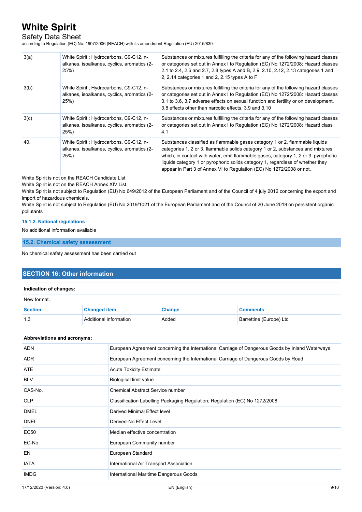# Safety Data Sheet

according to Regulation (EC) No. 1907/2006 (REACH) with its amendment Regulation (EU) 2015/830

| 3(a) | White Spirit ; Hydrocarbons, C9-C12, n-<br>alkanes, isoalkanes, cyclics, aromatics (2-<br>25%) | Substances or mixtures fulfilling the criteria for any of the following hazard classes<br>or categories set out in Annex I to Regulation (EC) No 1272/2008: Hazard classes<br>2.1 to 2.4, 2.6 and 2.7, 2.8 types A and B, 2.9, 2.10, 2.12, 2.13 categories 1 and<br>2, 2.14 categories 1 and 2, 2.15 types A to F                                                                                              |
|------|------------------------------------------------------------------------------------------------|----------------------------------------------------------------------------------------------------------------------------------------------------------------------------------------------------------------------------------------------------------------------------------------------------------------------------------------------------------------------------------------------------------------|
| 3(b) | White Spirit ; Hydrocarbons, C9-C12, n-<br>alkanes, isoalkanes, cyclics, aromatics (2-<br>25%) | Substances or mixtures fulfilling the criteria for any of the following hazard classes<br>or categories set out in Annex I to Regulation (EC) No 1272/2008: Hazard classes<br>3.1 to 3.6, 3.7 adverse effects on sexual function and fertility or on development,<br>3.8 effects other than narcotic effects, 3.9 and 3.10                                                                                     |
| 3(c) | White Spirit ; Hydrocarbons, C9-C12, n-<br>alkanes, isoalkanes, cyclics, aromatics (2-<br>25%  | Substances or mixtures fulfilling the criteria for any of the following hazard classes<br>or categories set out in Annex I to Regulation (EC) No 1272/2008: Hazard class<br>4.1                                                                                                                                                                                                                                |
| 40.  | White Spirit ; Hydrocarbons, C9-C12, n-<br>alkanes, isoalkanes, cyclics, aromatics (2-<br>25%) | Substances classified as flammable gases category 1 or 2, flammable liquids<br>categories 1, 2 or 3, flammable solids category 1 or 2, substances and mixtures<br>which, in contact with water, emit flammable gases, category 1, 2 or 3, pyrophoric<br>liquids category 1 or pyrophoric solids category 1, regardless of whether they<br>appear in Part 3 of Annex VI to Regulation (EC) No 1272/2008 or not. |

White Spirit is not on the REACH Candidate List

White Spirit is not on the REACH Annex XIV List

White Spirit is not subject to Regulation (EU) No 649/2012 of the European Parliament and of the Council of 4 july 2012 concerning the export and import of hazardous chemicals.

White Spirit is not subject to Regulation (EU) No 2019/1021 of the European Parliament and of the Council of 20 June 2019 on persistent organic pollutants

#### **15.1.2. National regulations**

No additional information available

**15.2. Chemical safety assessment**

No chemical safety assessment has been carried out

## **SECTION 16: Other information**

| Indication of changes: |                        |               |                         |
|------------------------|------------------------|---------------|-------------------------|
| New format.            |                        |               |                         |
| <b>Section</b>         | <b>Changed item</b>    | <b>Change</b> | <b>Comments</b>         |
| 1.3                    | Additional information | Added         | Barrettine (Europe) Ltd |

#### **Abbreviations and acronyms:**

| ADN         | European Agreement concerning the International Carriage of Dangerous Goods by Inland Waterways |
|-------------|-------------------------------------------------------------------------------------------------|
| <b>ADR</b>  | European Agreement concerning the International Carriage of Dangerous Goods by Road             |
| <b>ATE</b>  | <b>Acute Toxicity Estimate</b>                                                                  |
| <b>BLV</b>  | Biological limit value                                                                          |
| CAS-No.     | Chemical Abstract Service number                                                                |
| <b>CLP</b>  | Classification Labelling Packaging Regulation; Regulation (EC) No 1272/2008                     |
| <b>DMEL</b> | Derived Minimal Effect level                                                                    |
| <b>DNEL</b> | Derived-No Effect Level                                                                         |
| EC50        | Median effective concentration                                                                  |
| EC-No.      | European Community number                                                                       |
| EN          | European Standard                                                                               |
| <b>IATA</b> | International Air Transport Association                                                         |
| <b>IMDG</b> | International Maritime Dangerous Goods                                                          |
|             |                                                                                                 |